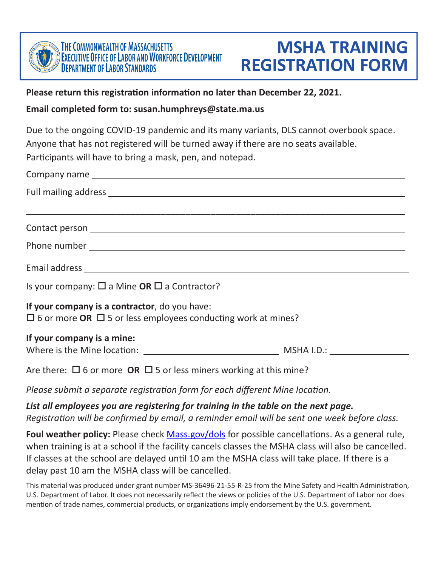

## **Please return this registration information no later than December 22, 2021.**

## **Email completed form to: [susan.humphreys@state.ma.us](mailto:susan.humphreys@state.ma.us)**

Due to the ongoing COVID-19 pandemic and its many variants, DLS cannot overbook space. Anyone that has not registered will be turned away if there are no seats available. Participants will have to bring a mask, pen, and notepad.

| Is your company: $\square$ a Mine <b>OR</b> $\square$ a Contractor?                                                       |  |  |  |  |
|---------------------------------------------------------------------------------------------------------------------------|--|--|--|--|
| If your company is a contractor, do you have:<br>$\Box$ 6 or more OR $\Box$ 5 or less employees conducting work at mines? |  |  |  |  |
| If your company is a mine:                                                                                                |  |  |  |  |
| $\Delta$ is the set $\Box$ f expanse $\Box$ $\Box$ f expect miners we shape at this mine?                                 |  |  |  |  |

Are there:  $\Box$  6 or more **OR**  $\Box$  5 or less miners working at this mine?

*Please submit a separate registration form for each different Mine location.* 

*List all employees you are registering for training in the table on the next page. Registration will be confirmed by email, a reminder email will be sent one week before class.* 

**Foul weather policy:** Please check **[Mass.gov/dols](http://Mass.gov/dols)** for possible cancellations. As a general rule, when training is at a school if the facility cancels classes the MSHA class will also be cancelled. If classes at the school are delayed until 10 am the MSHA class will take place. If there is a delay past 10 am the MSHA class will be cancelled.

This material was produced under grant number MS-36496-21-55-R-25 from the Mine Safety and Health Administration, U.S. Department of Labor. It does not necessarily reflect the views or policies of the U.S. Department of Labor nor does mention of trade names, commercial products, or organizations imply endorsement by the U.S. government.